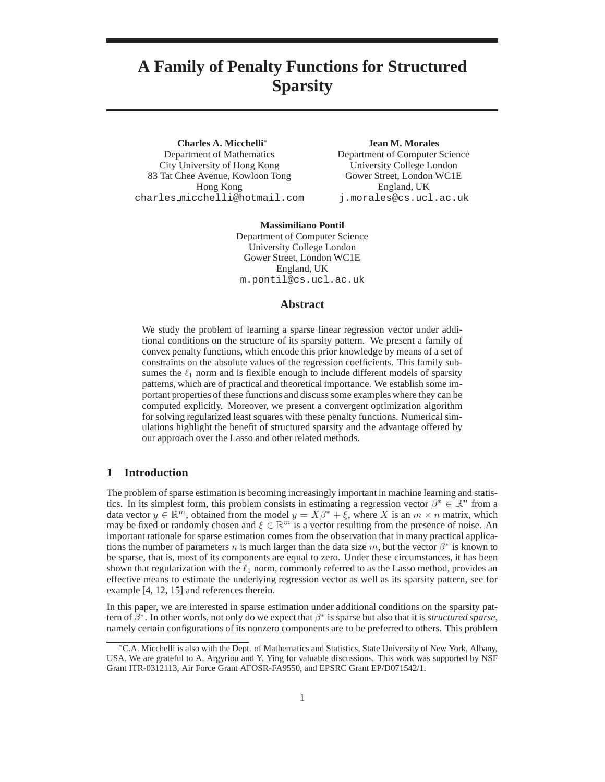# **A Family of Penalty Functions for Structured Sparsity**

**Charles A. Micchelli**<sup>∗</sup> Department of Mathematics City University of Hong Kong 83 Tat Chee Avenue, Kowloon Tong Hong Kong charles micchelli@hotmail.com

**Jean M. Morales** Department of Computer Science University College London Gower Street, London WC1E England, UK j.morales@cs.ucl.ac.uk

**Massimiliano Pontil** Department of Computer Science University College London Gower Street, London WC1E England, UK m.pontil@cs.ucl.ac.uk

## **Abstract**

We study the problem of learning a sparse linear regression vector under additional conditions on the structure of its sparsity pattern. We present a family of convex penalty functions, which encode this prior knowledge by means of a set of constraints on the absolute values of the regression coefficients. This family subsumes the  $\ell_1$  norm and is flexible enough to include different models of sparsity patterns, which are of practical and theoretical importance. We establish some important properties of these functions and discuss some examples where they can be computed explicitly. Moreover, we present a convergent optimization algorithm for solving regularized least squares with these penalty functions. Numerical simulations highlight the benefit of structured sparsity and the advantage offered by our approach over the Lasso and other related methods.

## **1 Introduction**

The problem of sparse estimation is becoming increasingly important in machine learning and statistics. In its simplest form, this problem consists in estimating a regression vector  $\beta^* \in \mathbb{R}^n$  from a data vector  $y \in \mathbb{R}^m$ , obtained from the model  $y = X\beta^* + \xi$ , where X is an  $m \times n$  matrix, which may be fixed or randomly chosen and  $\xi \in \mathbb{R}^m$  is a vector resulting from the presence of noise. An important rationale for sparse estimation comes from the observation that in many practical applications the number of parameters n is much larger than the data size  $m$ , but the vector  $\beta^*$  is known to be sparse, that is, most of its components are equal to zero. Under these circumstances, it has been shown that regularization with the  $\ell_1$  norm, commonly referred to as the Lasso method, provides an effective means to estimate the underlying regression vector as well as its sparsity pattern, see for example [4, 12, 15] and references therein.

In this paper, we are interested in sparse estimation under additional conditions on the sparsity pattern of  $\beta^*$ . In other words, not only do we expect that  $\beta^*$  is sparse but also that it is *structured sparse*, namely certain configurations of its nonzero components are to be preferred to others. This problem

<sup>∗</sup>C.A. Micchelli is also with the Dept. of Mathematics and Statistics, State University of New York, Albany, USA. We are grateful to A. Argyriou and Y. Ying for valuable discussions. This work was supported by NSF Grant ITR-0312113, Air Force Grant AFOSR-FA9550, and EPSRC Grant EP/D071542/1.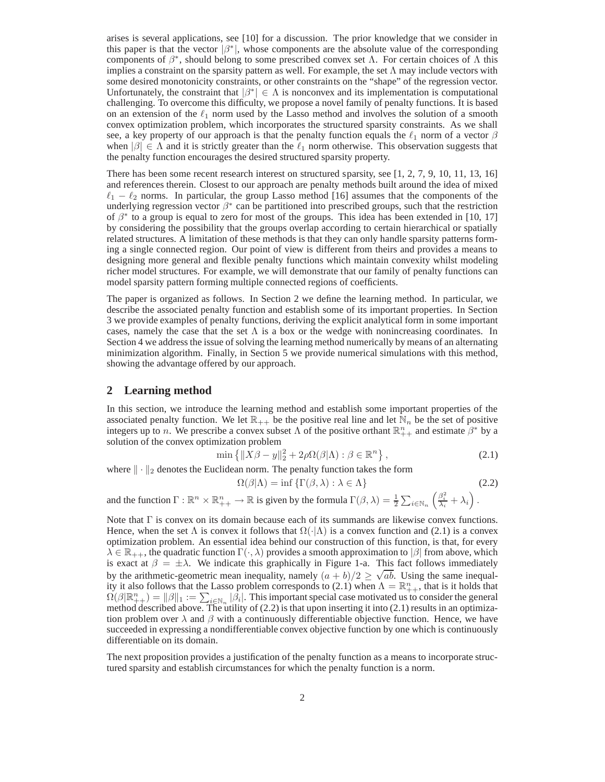arises is several applications, see [10] for a discussion. The prior knowledge that we consider in this paper is that the vector  $|\beta^*|$ , whose components are the absolute value of the corresponding components of  $\beta^*$ , should belong to some prescribed convex set  $\Lambda$ . For certain choices of  $\Lambda$  this implies a constraint on the sparsity pattern as well. For example, the set  $\Lambda$  may include vectors with some desired monotonicity constraints, or other constraints on the "shape" of the regression vector. Unfortunately, the constraint that  $|\beta^*| \in \Lambda$  is nonconvex and its implementation is computational challenging. To overcome this difficulty, we propose a novel family of penalty functions. It is based on an extension of the  $\ell_1$  norm used by the Lasso method and involves the solution of a smooth convex optimization problem, which incorporates the structured sparsity constraints. As we shall see, a key property of our approach is that the penalty function equals the  $\ell_1$  norm of a vector  $\beta$ when  $|\beta| \in \Lambda$  and it is strictly greater than the  $\ell_1$  norm otherwise. This observation suggests that the penalty function encourages the desired structured sparsity property.

There has been some recent research interest on structured sparsity, see [1, 2, 7, 9, 10, 11, 13, 16] and references therein. Closest to our approach are penalty methods built around the idea of mixed  $\ell_1 - \ell_2$  norms. In particular, the group Lasso method [16] assumes that the components of the underlying regression vector  $\beta^*$  can be partitioned into prescribed groups, such that the restriction of  $\beta^*$  to a group is equal to zero for most of the groups. This idea has been extended in [10, 17] by considering the possibility that the groups overlap according to certain hierarchical or spatially related structures. A limitation of these methods is that they can only handle sparsity patterns forming a single connected region. Our point of view is different from theirs and provides a means to designing more general and flexible penalty functions which maintain convexity whilst modeling richer model structures. For example, we will demonstrate that our family of penalty functions can model sparsity pattern forming multiple connected regions of coefficients.

The paper is organized as follows. In Section 2 we define the learning method. In particular, we describe the associated penalty function and establish some of its important properties. In Section 3 we provide examples of penalty functions, deriving the explicit analytical form in some important cases, namely the case that the set  $\Lambda$  is a box or the wedge with nonincreasing coordinates. In Section 4 we address the issue of solving the learning method numerically by means of an alternating minimization algorithm. Finally, in Section 5 we provide numerical simulations with this method, showing the advantage offered by our approach.

## **2 Learning method**

In this section, we introduce the learning method and establish some important properties of the associated penalty function. We let  $\mathbb{R}_{++}$  be the positive real line and let  $\mathbb{N}_n$  be the set of positive integers up to *n*. We prescribe a convex subset  $\Lambda$  of the positive orthant  $\mathbb{R}_{++}^n$  and estimate  $\beta^*$  by a solution of the convex optimization problem

$$
\min\left\{ \|X\beta - y\|_2^2 + 2\rho\Omega(\beta|\Lambda) : \beta \in \mathbb{R}^n \right\},\tag{2.1}
$$

where  $\|\cdot\|_2$  denotes the Euclidean norm. The penalty function takes the form

$$
\Omega(\beta|\Lambda) = \inf \{ \Gamma(\beta,\lambda) : \lambda \in \Lambda \}
$$
 (2.2)

and the function  $\Gamma : \mathbb{R}^n \times \mathbb{R}^n_{++} \to \mathbb{R}$  is given by the formula  $\Gamma(\beta, \lambda) = \frac{1}{2} \sum_{i \in \mathbb{N}_n} \left( \frac{\beta_i^2}{\lambda_i} + \lambda_i \right)$ .

Note that  $\Gamma$  is convex on its domain because each of its summands are likewise convex functions. Hence, when the set  $\Lambda$  is convex it follows that  $\Omega(\cdot|\Lambda)$  is a convex function and (2.1) is a convex optimization problem. An essential idea behind our construction of this function, is that, for every  $\lambda \in \mathbb{R}_{++}$ , the quadratic function  $\Gamma(\cdot, \lambda)$  provides a smooth approximation to  $|\beta|$  from above, which is exact at  $\beta = \pm \lambda$ . We indicate this graphically in Figure 1-a. This fact follows immediately by the arithmetic-geometric mean inequality, namely  $(a + b)/2 \ge \sqrt{ab}$ . Using the same inequality it also follows that the Lasso problem corresponds to (2.1) when  $\Lambda = \mathbb{R}^n_{++}$ , that is it holds that  $\Omega(\beta|\mathbb{R}_{++}^n) = \|\beta\|_1 := \sum_{i \in \mathbb{N}_n} |\beta_i|$ . This important special case motivated us to consider the general method described above. The utility of (2.2) is that upon inserting it into (2.1) results in an optimization problem over  $\lambda$  and  $\beta$  with a continuously differentiable objective function. Hence, we have succeeded in expressing a nondifferentiable convex objective function by one which is continuously differentiable on its domain.

The next proposition provides a justification of the penalty function as a means to incorporate structured sparsity and establish circumstances for which the penalty function is a norm.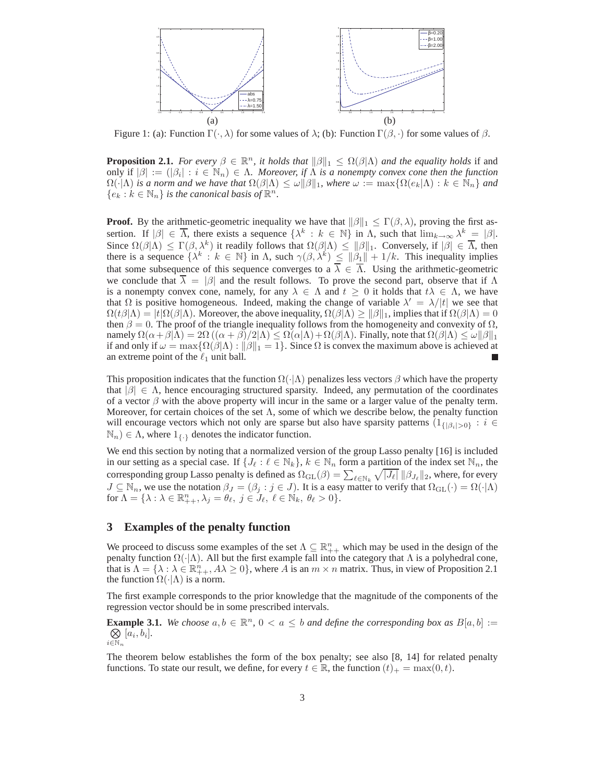

Figure 1: (a): Function  $\Gamma(\cdot, \lambda)$  for some values of  $\lambda$ ; (b): Function  $\Gamma(\beta, \cdot)$  for some values of  $\beta$ .

**Proposition 2.1.** *For every*  $\beta \in \mathbb{R}^n$ , *it holds that*  $\|\beta\|_1 \leq \Omega(\beta|\Lambda)$  *and the equality holds* if and only if  $|\beta| := (|\beta_i| : i \in \mathbb{N}_n) \in \Lambda$ . Moreover, if  $\Lambda$  is a nonempty convex cone then the function  $\Omega(\cdot|\Lambda)$  *is a norm and we have that*  $\Omega(\beta|\Lambda) \leq \omega \|\beta\|_1$ *, where*  $\omega := \max\{\Omega(e_k|\Lambda): k \in \mathbb{N}_n\}$  *and*  ${e_k : k \in \mathbb{N}_n}$  *is the canonical basis of*  $\mathbb{R}^n$ *.* 

**Proof.** By the arithmetic-geometric inequality we have that  $\|\beta\|_1 \leq \Gamma(\beta, \lambda)$ , proving the first assertion. If  $|\beta| \in \overline{\Lambda}$ , there exists a sequence  $\{\lambda^k : k \in \mathbb{N}\}\$ in  $\Lambda$ , such that  $\lim_{k \to \infty} \lambda^k = |\beta|$ . Since  $\Omega(\beta|\Lambda) \leq \Gamma(\beta,\lambda^k)$  it readily follows that  $\Omega(\beta|\Lambda) \leq ||\beta||_1$ . Conversely, if  $|\beta| \in \overline{\Lambda}$ , then there is a sequence  $\{\lambda^k : k \in \mathbb{N}\}\$  in  $\Lambda$ , such  $\gamma(\beta, \lambda^k) \leq ||\beta_1|| + 1/k$ . This inequality implies that some subsequence of this sequence converges to a  $\overline{\lambda} \in \overline{\Lambda}$ . Using the arithmetic-geometric we conclude that  $\lambda = |\beta|$  and the result follows. To prove the second part, observe that if  $\Lambda$ is a nonempty convex cone, namely, for any  $\lambda \in \Lambda$  and  $t \geq 0$  it holds that  $t\lambda \in \Lambda$ , we have that  $\Omega$  is positive homogeneous. Indeed, making the change of variable  $\lambda' = \lambda/|t|$  we see that  $\Omega(t\beta|\Lambda) = |t|\Omega(\beta|\Lambda)$ . Moreover, the above inequality,  $\Omega(\beta|\Lambda) \ge ||\beta||_1$ , implies that if  $\Omega(\beta|\Lambda) = 0$ then  $\beta = 0$ . The proof of the triangle inequality follows from the homogeneity and convexity of  $\Omega$ , namely  $\Omega(\alpha+\beta|\Lambda) = 2\Omega((\alpha+\beta)/2|\Lambda) \leq \Omega(\alpha|\Lambda) + \Omega(\beta|\Lambda)$ . Finally, note that  $\Omega(\beta|\Lambda) \leq \omega||\beta||_1$ if and only if  $\omega = \max{\Omega(\beta|\Lambda) : ||\beta||_1 = 1}$ . Since  $\Omega$  is convex the maximum above is achieved at an extreme point of the  $\ell_1$  unit ball.

This proposition indicates that the function  $\Omega(\cdot|\Lambda)$  penalizes less vectors  $\beta$  which have the property that  $|\beta| \in \Lambda$ , hence encouraging structured sparsity. Indeed, any permutation of the coordinates of a vector  $\beta$  with the above property will incur in the same or a larger value of the penalty term. Moreover, for certain choices of the set  $\Lambda$ , some of which we describe below, the penalty function will encourage vectors which not only are sparse but also have sparsity patterns  $(1_{\{|\beta_i|>0\}} : i \in$  $\mathbb{N}_n$ )  $\in \Lambda$ , where  $1_{\{\cdot\}}$  denotes the indicator function.

We end this section by noting that a normalized version of the group Lasso penalty [16] is included in our setting as a special case. If  $\{J_\ell : \ell \in \mathbb{N}_k\}$ ,  $k \in \mathbb{N}_n$  form a partition of the index set  $\mathbb{N}_n$ , the corresponding group Lasso penalty is defined as  $\Omega_{GL}(\beta) = \sum_{\ell \in \mathbb{N}_k} \sqrt{|J_{\ell}|} \, \|\beta_{J_{\ell}}\|_2$ , where, for every  $J \subseteq \mathbb{N}_n$ , we use the notation  $\beta_J = (\beta_j : j \in J)$ . It is a easy matter to verify that  $\Omega_{GL}(\cdot) = \Omega(\cdot | \Lambda)$ for  $\Lambda = \{\lambda : \lambda \in \mathbb{R}_{++}^n, \lambda_j = \theta_\ell, \ j \in J_\ell, \ \ell \in \mathbb{N}_k, \ \theta_\ell > 0\}.$ 

#### **3 Examples of the penalty function**

We proceed to discuss some examples of the set  $\Lambda \subseteq \mathbb{R}^n_+$ , which may be used in the design of the penalty function  $\Omega(\cdot|\Lambda)$ . All but the first example fall into the category that Λ is a polyhedral cone, that is  $\Lambda = \{\lambda : \lambda \in \mathbb{R}^n_+, A\lambda \geq 0\}$ , where A is an  $m \times n$  matrix. Thus, in view of Proposition 2.1 the function  $\Omega(\cdot|\Lambda)$  is a norm.

The first example corresponds to the prior knowledge that the magnitude of the components of the regression vector should be in some prescribed intervals.

**Example 3.1.** *We choose*  $a, b \in \mathbb{R}^n$ ,  $0 < a \leq b$  *and define the corresponding box as*  $B[a, b] := \bigotimes [a_i, b_i]$ .  $i\widetilde{\in}\mathbb{N}_n$  $[a_i, b_i]$ .

The theorem below establishes the form of the box penalty; see also [8, 14] for related penalty functions. To state our result, we define, for every  $t \in \mathbb{R}$ , the function  $(t)_{+} = \max(0, t)$ .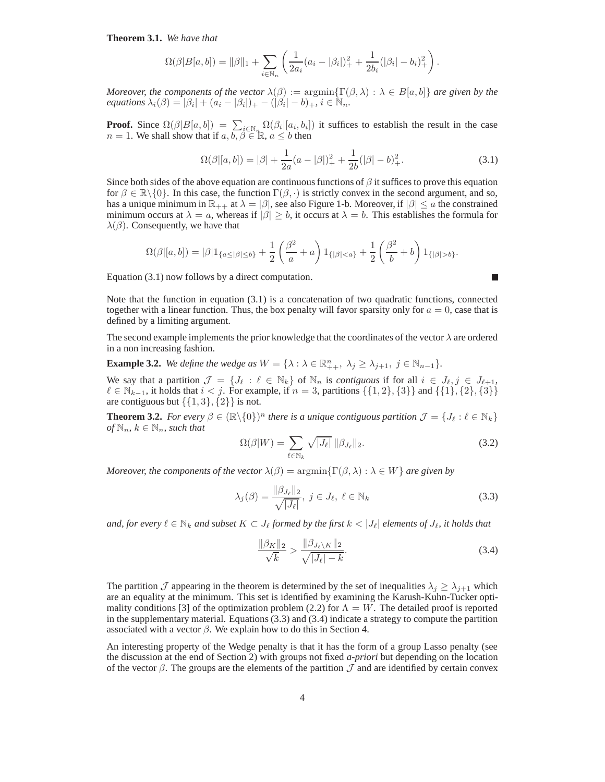**Theorem 3.1.** *We have that*

$$
\Omega(\beta|B[a,b]) = \|\beta\|_1 + \sum_{i \in \mathbb{N}_n} \left( \frac{1}{2a_i}(a_i - |\beta_i|)_+^2 + \frac{1}{2b_i}(|\beta_i| - b_i)_+^2 \right).
$$

*Moreover, the components of the vector*  $\lambda(\beta) := \argmin{\{\Gamma(\beta, \lambda) : \lambda \in B[a, b]\}}$  *are given by the equations*  $\lambda_i(\beta) = |\beta_i| + (a_i - |\beta_i|)_{+} - (|\beta_i| - b)_{+}, i \in \mathbb{N}_n$ .

**Proof.** Since  $\Omega(\beta|B[a,b]) = \sum_{i \in \mathbb{N}_{q}} \Omega(\beta_i|[a_i,b_i])$  it suffices to establish the result in the case  $n = 1$ . We shall show that if  $a, b, \beta \in \mathbb{R}$ ,  $a \leq b$  then

$$
\Omega(\beta|[a,b]) = |\beta| + \frac{1}{2a}(a - |\beta|)^2 + \frac{1}{2b}(|\beta| - b)^2_+.
$$
\n(3.1)

Since both sides of the above equation are continuous functions of  $\beta$  it suffices to prove this equation for  $\beta \in \mathbb{R} \setminus \{0\}$ . In this case, the function  $\Gamma(\beta, \cdot)$  is strictly convex in the second argument, and so, has a unique minimum in  $\mathbb{R}_{++}$  at  $\lambda = |\beta|$ , see also Figure 1-b. Moreover, if  $|\beta| \le a$  the constrained minimum occurs at  $\lambda = a$ , whereas if  $|\beta| \ge b$ , it occurs at  $\lambda = b$ . This establishes the formula for  $\lambda(\beta)$ . Consequently, we have that

$$
\Omega(\beta|[a,b]) = |\beta|1_{\{a \leq |\beta| \leq b\}} + \frac{1}{2} \left(\frac{\beta^2}{a} + a\right)1_{\{|\beta| < a\}} + \frac{1}{2} \left(\frac{\beta^2}{b} + b\right)1_{\{|\beta| > b\}}.
$$

Equation (3.1) now follows by a direct computation.

Note that the function in equation  $(3.1)$  is a concatenation of two quadratic functions, connected together with a linear function. Thus, the box penalty will favor sparsity only for  $a = 0$ , case that is defined by a limiting argument.

The second example implements the prior knowledge that the coordinates of the vector  $\lambda$  are ordered in a non increasing fashion.

**Example 3.2.** *We define the wedge as*  $W = \{\lambda : \lambda \in \mathbb{R}^n_{++}, \lambda_j \geq \lambda_{j+1}, j \in \mathbb{N}_{n-1}\}.$ 

We say that a partition  $\mathcal{J} = \{J_\ell : \ell \in \mathbb{N}_k\}$  of  $\mathbb{N}_n$  is *contiguous* if for all  $i \in J_\ell, j \in J_{\ell+1}$ ,  $\ell \in \mathbb{N}_{k-1}$ , it holds that  $i < j$ . For example, if  $n = 3$ , partitions {{1, 2}, {3}} and {{1}, {2}, {3}} are contiguous but  $\{\{1,3\},\{2\}\}\$ is not.

**Theorem 3.2.** *For every*  $\beta \in (\mathbb{R} \setminus \{0\})^n$  *there is a unique contiguous partition*  $\mathcal{J} = \{J_\ell : \ell \in \mathbb{N}_k\}$  $of\,\mathbb{N}_n, k \in \mathbb{N}_n, such that$ 

$$
\Omega(\beta|W) = \sum_{\ell \in \mathbb{N}_k} \sqrt{|J_{\ell}|} \, \|\beta_{J_{\ell}}\|_2.
$$
\n(3.2)

П

*Moreover, the components of the vector*  $\lambda(\beta) = \argmin \{ \Gamma(\beta, \lambda) : \lambda \in W \}$  *are given by* 

$$
\lambda_j(\beta) = \frac{\|\beta_{J_\ell}\|_2}{\sqrt{|J_\ell|}}, \ j \in J_\ell, \ \ell \in \mathbb{N}_k
$$
\n(3.3)

*and, for every*  $\ell \in \mathbb{N}_k$  *and subset*  $K \subset J_\ell$  *formed by the first*  $k < |J_\ell|$  *elements of*  $J_\ell$ *, it holds that* 

$$
\frac{\|\beta_K\|_2}{\sqrt{k}} > \frac{\|\beta_{J_\ell \setminus K}\|_2}{\sqrt{|J_\ell| - k}}.
$$
\n(3.4)

The partition  $\mathcal J$  appearing in the theorem is determined by the set of inequalities  $\lambda_j \geq \lambda_{j+1}$  which are an equality at the minimum. This set is identified by examining the Karush-Kuhn-Tucker optimality conditions [3] of the optimization problem (2.2) for  $\Lambda = W$ . The detailed proof is reported in the supplementary material. Equations (3.3) and (3.4) indicate a strategy to compute the partition associated with a vector  $\beta$ . We explain how to do this in Section 4.

An interesting property of the Wedge penalty is that it has the form of a group Lasso penalty (see the discussion at the end of Section 2) with groups not fixed *a-priori* but depending on the location of the vector  $\beta$ . The groups are the elements of the partition  $\mathcal J$  and are identified by certain convex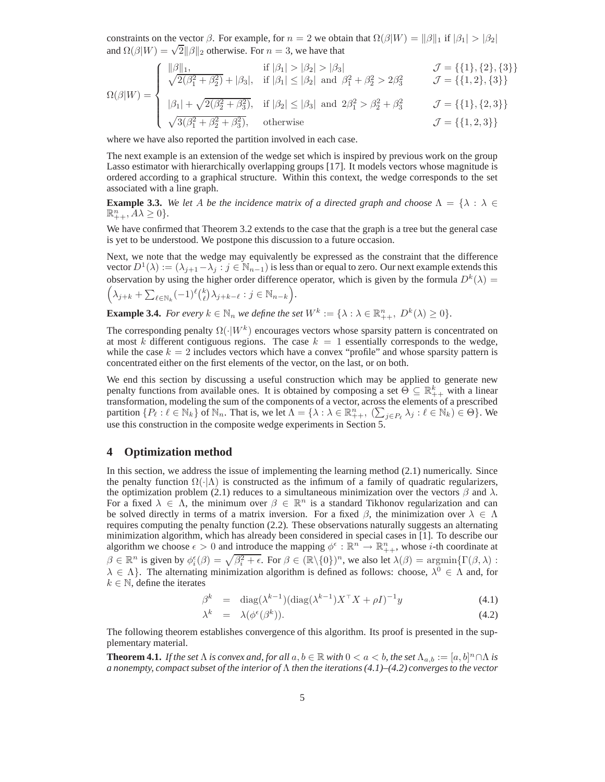constraints on the vector  $\beta$ . For example, for  $n = 2$  we obtain that  $\Omega(\beta|W) = ||\beta||_1$  if  $|\beta_1| > |\beta_2|$ and  $\Omega(\beta|W) = \sqrt{2} ||\beta||_2$  otherwise. For  $n = 3$ , we have that

$$
\Omega(\beta|W) = \begin{cases}\n\frac{\|\beta\|_1, \qquad \text{if } |\beta_1| > |\beta_2| > |\beta_3| & \mathcal{J} = \{\{1\}, \{2\}, \{3\}\} \\
\sqrt{2(\beta_1^2 + \beta_2^2)} + |\beta_3|, \quad \text{if } |\beta_1| \le |\beta_2| \text{ and } \beta_1^2 + \beta_2^2 > 2\beta_3^2 & \mathcal{J} = \{\{1, 2\}, \{3\}\} \\
\frac{\beta_1\|_1 + \sqrt{2(\beta_2^2 + \beta_3^2)}, \quad \text{if } |\beta_2| \le |\beta_3| \text{ and } 2\beta_1^2 > \beta_2^2 + \beta_3^2 & \mathcal{J} = \{\{1\}, \{2, 3\}\} \\
\sqrt{3(\beta_1^2 + \beta_2^2 + \beta_3^2)}, \quad \text{otherwise} & \mathcal{J} = \{\{1, 2, 3\}\}\n\end{cases}
$$

where we have also reported the partition involved in each case.

The next example is an extension of the wedge set which is inspired by previous work on the group Lasso estimator with hierarchically overlapping groups [17]. It models vectors whose magnitude is ordered according to a graphical structure. Within this context, the wedge corresponds to the set associated with a line graph.

**Example 3.3.** We let A be the incidence matrix of a directed graph and choose  $\Lambda = \{\lambda : \lambda \in$  $\mathbb{R}_{++}^n$ ,  $A\lambda \geq 0$  }.

We have confirmed that Theorem 3.2 extends to the case that the graph is a tree but the general case is yet to be understood. We postpone this discussion to a future occasion.

Next, we note that the wedge may equivalently be expressed as the constraint that the difference vector  $D^1(\lambda) := (\lambda_{j+1} - \lambda_j : j \in \mathbb{N}_{n-1})$  is less than or equal to zero. Our next example extends this observation by using the higher order difference operator, which is given by the formula  $D^k(\lambda)$  =

.

$$
\left(\lambda_{j+k} + \sum_{\ell \in \mathbb{N}_k} (-1)^{\ell} \binom{k}{\ell} \lambda_{j+k-\ell} : j \in \mathbb{N}_{n-k}\right)
$$

**Example 3.4.** *For every*  $k \in \mathbb{N}_n$  *we define the set*  $W^k := \{ \lambda : \lambda \in \mathbb{R}_{++}^n$ ,  $D^k(\lambda) \ge 0 \}.$ 

The corresponding penalty  $\Omega(\cdot|W^k)$  encourages vectors whose sparsity pattern is concentrated on at most k different contiguous regions. The case  $k = 1$  essentially corresponds to the wedge, while the case  $k = 2$  includes vectors which have a convex "profile" and whose sparsity pattern is concentrated either on the first elements of the vector, on the last, or on both.

We end this section by discussing a useful construction which may be applied to generate new penalty functions from available ones. It is obtained by composing a set  $\Theta \subseteq \mathbb{R}_{++}^k$  with a linear transformation, modeling the sum of the components of a vector, across the elements of a prescribed partition  $\{P_\ell : \ell \in \mathbb{N}_k\}$  of  $\mathbb{N}_n$ . That is, we let  $\Lambda = \{\lambda : \lambda \in \mathbb{R}^n_+, (\sum_{j \in P_\ell} \lambda_j : \ell \in \mathbb{N}_k) \in \Theta\}$ . We use this construction in the composite wedge experiments in Section 5.

## **4 Optimization method**

In this section, we address the issue of implementing the learning method (2.1) numerically. Since the penalty function  $\Omega(\cdot|\Lambda)$  is constructed as the infimum of a family of quadratic regularizers, the optimization problem (2.1) reduces to a simultaneous minimization over the vectors  $\beta$  and  $\lambda$ . For a fixed  $\lambda \in \Lambda$ , the minimum over  $\beta \in \mathbb{R}^n$  is a standard Tikhonov regularization and can be solved directly in terms of a matrix inversion. For a fixed  $\beta$ , the minimization over  $\lambda \in \Lambda$ requires computing the penalty function (2.2). These observations naturally suggests an alternating minimization algorithm, which has already been considered in special cases in [1]. To describe our algorithm we choose  $\epsilon > 0$  and introduce the mapping  $\phi^{\epsilon} : \mathbb{R}^n \to \mathbb{R}^n_{++}$ , whose *i*-th coordinate at  $\beta \in \mathbb{R}^n$  is given by  $\phi_i^{\epsilon}(\beta) = \sqrt{\beta_i^2 + \epsilon}$ . For  $\beta \in (\mathbb{R} \setminus \{0\})^n$ , we also let  $\lambda(\beta) = \operatorname{argmin} \{ \Gamma(\beta, \lambda) :$  $\lambda \in \Lambda$ . The alternating minimization algorithm is defined as follows: choose,  $\lambda^0 \in \Lambda$  and, for  $k \in \mathbb{N}$ , define the iterates

$$
\beta^k = \text{diag}(\lambda^{k-1})(\text{diag}(\lambda^{k-1})X^{\top}X + \rho I)^{-1}y \tag{4.1}
$$

$$
\lambda^k = \lambda(\phi^{\epsilon}(\beta^k)). \tag{4.2}
$$

The following theorem establishes convergence of this algorithm. Its proof is presented in the supplementary material.

**Theorem 4.1.** *If the set*  $\Lambda$  *is convex and, for all*  $a, b \in \mathbb{R}$  *with*  $0 < a < b$ , *the set*  $\Lambda_{a,b} := [a, b]^n \cap \Lambda$  *is a nonempty, compact subset of the interior of* Λ *then the iterations (4.1)–(4.2) converges to the vector*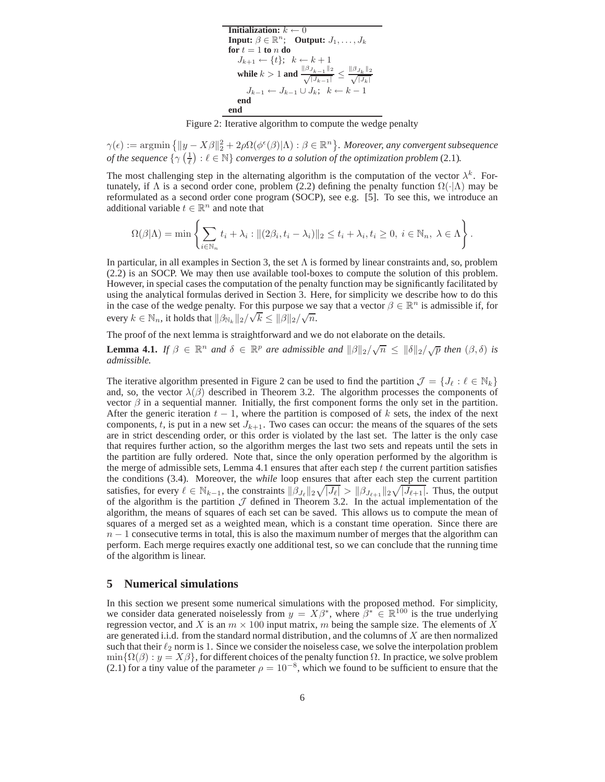**Initialization:**  $k \leftarrow 0$ **Input:**  $\beta \in \mathbb{R}^n$ ; **Output:**  $J_1, \ldots, J_k$  $f$ *d*  $f$  = 1 **to**  $n$  **do**  $J_{k+1} \leftarrow \{t\};\ \ k \leftarrow k+1$ **while**  $k > 1$  and  $\frac{\|\beta_{J_{k-1}}\|_2}{\sqrt{|J_{k-1}|}} \le \frac{\|\beta_{J_k}\|_2}{\sqrt{|J_k|}}$  $|J_k|$  $J_{k-1} \leftarrow J_{k-1} \cup J_k; \quad k \leftarrow k-1$ <br>**end end**

Figure 2: Iterative algorithm to compute the wedge penalty

 $\gamma(\epsilon) := \operatorname{argmin} \left\{ \|y - X\beta\|_2^2 + 2\rho \Omega(\phi^{\epsilon}(\beta)|\Lambda) : \beta \in \mathbb{R}^n \right\}$ . Moreover, any convergent subsequence *of the sequence*  $\{ \gamma \left( \frac{1}{\ell} \right) : \ell \in \mathbb{N} \}$  *converges to a solution of the optimization problem* (2.1).

The most challenging step in the alternating algorithm is the computation of the vector  $\lambda^k$ . Fortunately, if  $\Lambda$  is a second order cone, problem (2.2) defining the penalty function  $\Omega(\cdot|\Lambda)$  may be reformulated as a second order cone program (SOCP), see e.g. [5]. To see this, we introduce an additional variable  $t \in \mathbb{R}^n$  and note that

$$
\Omega(\beta|\Lambda) = \min \left\{ \sum_{i \in \mathbb{N}_n} t_i + \lambda_i : ||(2\beta_i, t_i - \lambda_i)||_2 \le t_i + \lambda_i, t_i \ge 0, i \in \mathbb{N}_n, \lambda \in \Lambda \right\}.
$$

In particular, in all examples in Section 3, the set  $\Lambda$  is formed by linear constraints and, so, problem (2.2) is an SOCP. We may then use available tool-boxes to compute the solution of this problem. However, in special cases the computation of the penalty function may be significantly facilitated by using the analytical formulas derived in Section 3. Here, for simplicity we describe how to do this in the case of the wedge penalty. For this purpose we say that a vector  $\beta \in \mathbb{R}^n$  is admissible if, for every  $k \in \mathbb{N}_n$ , it holds that  $\|\beta_{\mathbb{N}_k}\|_2/\sqrt{k} \leq \|\beta\|_2/\sqrt{n}$ .

The proof of the next lemma is straightforward and we do not elaborate on the details.

**Lemma 4.1.** *If*  $\beta \in \mathbb{R}^n$  *and*  $\delta \in \mathbb{R}^p$  *are admissible and*  $\|\beta\|_2/\sqrt{n} \le \|\delta\|_2/\sqrt{p}$  *then*  $(\beta, \delta)$  *is admissible.*

The iterative algorithm presented in Figure 2 can be used to find the partition  $\mathcal{J} = \{J_\ell : \ell \in \mathbb{N}_k\}$ and, so, the vector  $\lambda(\beta)$  described in Theorem 3.2. The algorithm processes the components of vector  $\beta$  in a sequential manner. Initially, the first component forms the only set in the partition. After the generic iteration  $t - 1$ , where the partition is composed of k sets, the index of the next components, t, is put in a new set  $J_{k+1}$ . Two cases can occur: the means of the squares of the sets are in strict descending order, or this order is violated by the last set. The latter is the only case that requires further action, so the algorithm merges the last two sets and repeats until the sets in the partition are fully ordered. Note that, since the only operation performed by the algorithm is the merge of admissible sets, Lemma 4.1 ensures that after each step  $t$  the current partition satisfies the conditions (3.4). Moreover, the *while* loop ensures that after each step the current partition satisfies, for every  $\ell \in \mathbb{N}_{k-1}$ , the constraints  $\|\beta_{J_{\ell}}\|_2 \sqrt{|J_{\ell}|} > \|\beta_{J_{\ell+1}}\|_2 \sqrt{|J_{\ell+1}|}$ . Thus, the output of the algorithm is the partition  $\mathcal J$  defined in Theorem 3.2. In the actual implementation of the algorithm, the means of squares of each set can be saved. This allows us to compute the mean of squares of a merged set as a weighted mean, which is a constant time operation. Since there are  $n-1$  consecutive terms in total, this is also the maximum number of merges that the algorithm can perform. Each merge requires exactly one additional test, so we can conclude that the running time of the algorithm is linear.

#### **5 Numerical simulations**

In this section we present some numerical simulations with the proposed method. For simplicity, we consider data generated noiselessly from  $y = X\beta^*$ , where  $\beta^* \in \mathbb{R}^{100}$  is the true underlying regression vector, and X is an  $m \times 100$  input matrix, m being the sample size. The elements of X are generated i.i.d. from the standard normal distribution, and the columns of  $X$  are then normalized such that their  $\ell_2$  norm is 1. Since we consider the noiseless case, we solve the interpolation problem  $\min\{\Omega(\beta): y = X\beta\}$ , for different choices of the penalty function  $\Omega$ . In practice, we solve problem (2.1) for a tiny value of the parameter  $\rho = 10^{-8}$ , which we found to be sufficient to ensure that the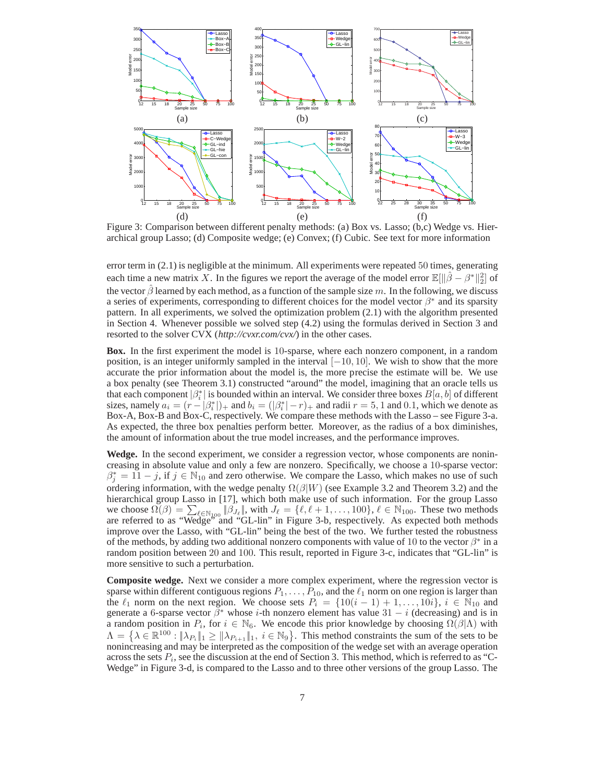

Figure 3: Comparison between different penalty methods: (a) Box vs. Lasso; (b,c) Wedge vs. Hierarchical group Lasso; (d) Composite wedge; (e) Convex; (f) Cubic. See text for more information

error term in (2.1) is negligible at the minimum. All experiments were repeated 50 times, generating each time a new matrix X. In the figures we report the average of the model error  $\mathbb{E}[\|\hat{\beta} - \beta^*\|_2^2]$  of the vector  $\beta$  learned by each method, as a function of the sample size m. In the following, we discuss a series of experiments, corresponding to different choices for the model vector  $\beta^*$  and its sparsity pattern. In all experiments, we solved the optimization problem (2.1) with the algorithm presented in Section 4. Whenever possible we solved step (4.2) using the formulas derived in Section 3 and resorted to the solver CVX (*http://cvxr.com/cvx/*) in the other cases.

**Box.** In the first experiment the model is 10-sparse, where each nonzero component, in a random position, is an integer uniformly sampled in the interval [−10, 10]. We wish to show that the more accurate the prior information about the model is, the more precise the estimate will be. We use a box penalty (see Theorem 3.1) constructed "around" the model, imagining that an oracle tells us that each component  $\left|\beta_i^*\right|$  is bounded within an interval. We consider three boxes  $B[a, b]$  of different sizes, namely  $a_i = (r - |\beta_i^*|)_{+}$  and  $b_i = (|\beta_i^*| - r)_{+}$  and radii  $r = 5, 1$  and 0.1, which we denote as Box-A, Box-B and Box-C, respectively. We compare these methods with the Lasso – see Figure 3-a. As expected, the three box penalties perform better. Moreover, as the radius of a box diminishes, the amount of information about the true model increases, and the performance improves.

**Wedge.** In the second experiment, we consider a regression vector, whose components are nonincreasing in absolute value and only a few are nonzero. Specifically, we choose a 10-sparse vector:  $\beta_j^* = 11 - j$ , if  $j \in \mathbb{N}_{10}$  and zero otherwise. We compare the Lasso, which makes no use of such ordering information, with the wedge penalty  $\Omega(\beta|W)$  (see Example 3.2 and Theorem 3.2) and the hierarchical group Lasso in [17], which both make use of such information. For the group Lasso we choose  $\Omega(\beta) = \sum_{\ell \in \mathbb{N}_{100}} |\beta_{J_{\ell}}|$ , with  $J_{\ell} = {\ell, \ell + 1, ..., 100}$ ,  $\ell \in \mathbb{N}_{100}$ . These two methods are referred to as "Wedge" and "GL-lin" in Figure 3-b, respectively. As expected both methods improve over the Lasso, with "GL-lin" being the best of the two. We further tested the robustness of the methods, by adding two additional nonzero components with value of 10 to the vector  $\beta^*$  in a random position between 20 and 100. This result, reported in Figure 3-c, indicates that "GL-lin" is more sensitive to such a perturbation.

**Composite wedge.** Next we consider a more complex experiment, where the regression vector is sparse within different contiguous regions  $P_1, \ldots, P_{10}$ , and the  $\ell_1$  norm on one region is larger than the  $\ell_1$  norm on the next region. We choose sets  $P_i = \{10(i-1) + 1, \ldots, 10i\}, i \in \mathbb{N}_{10}$  and generate a 6-sparse vector  $\beta^*$  whose *i*-th nonzero element has value 31 – *i* (decreasing) and is in a random position in  $P_i$ , for  $i \in \mathbb{N}_6$ . We encode this prior knowledge by choosing  $\Omega(\beta|\Lambda)$  with  $\Lambda = \left\{ \lambda \in \mathbb{R}^{100} : \|\lambda_{P_i}\|_1 \ge \|\lambda_{P_{i+1}}\|_1, i \in \mathbb{N}_9 \right\}$ . This method constraints the sum of the sets to be nonincreasing and may be interpreted as the composition of the wedge set with an average operation across the sets  $P_i$ , see the discussion at the end of Section 3. This method, which is referred to as "C-Wedge" in Figure 3-d, is compared to the Lasso and to three other versions of the group Lasso. The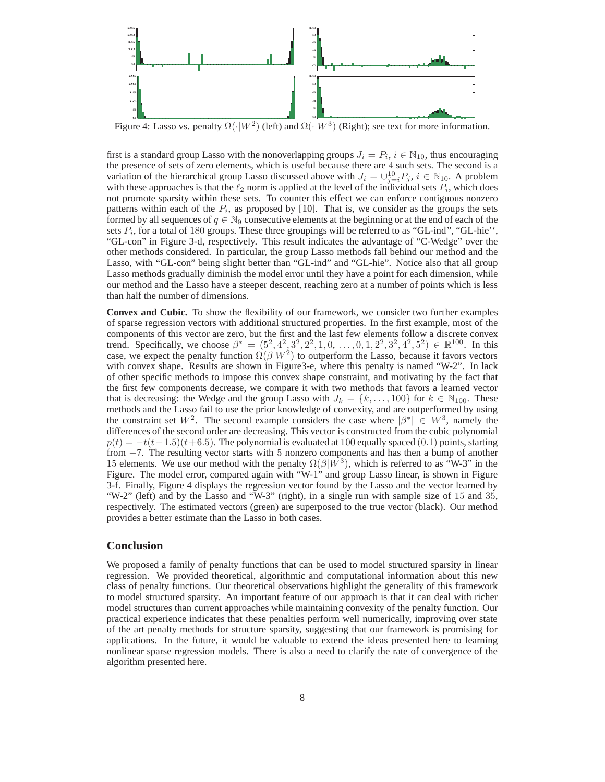

Figure 4: Lasso vs. penalty  $\Omega(\cdot|W^2)$  (left) and  $\Omega(\cdot|W^3)$  (Right); see text for more information.

first is a standard group Lasso with the nonoverlapping groups  $J_i = P_i$ ,  $i \in \mathbb{N}_{10}$ , thus encouraging the presence of sets of zero elements, which is useful because there are 4 such sets. The second is a variation of the hierarchical group Lasso discussed above with  $J_i = \bigcup_{j=i}^{10} P_j$ ,  $i \in \mathbb{N}_{10}$ . A problem with these approaches is that the  $\ell_2$  norm is applied at the level of the individual sets  $P_i$ , which does not promote sparsity within these sets. To counter this effect we can enforce contiguous nonzero patterns within each of the  $P_i$ , as proposed by [10]. That is, we consider as the groups the sets formed by all sequences of  $q \in \mathbb{N}_9$  consecutive elements at the beginning or at the end of each of the sets  $P_i$ , for a total of 180 groups. These three groupings will be referred to as "GL-ind", "GL-hie'', "GL-con" in Figure 3-d, respectively. This result indicates the advantage of "C-Wedge" over the other methods considered. In particular, the group Lasso methods fall behind our method and the Lasso, with "GL-con" being slight better than "GL-ind" and "GL-hie". Notice also that all group Lasso methods gradually diminish the model error until they have a point for each dimension, while our method and the Lasso have a steeper descent, reaching zero at a number of points which is less than half the number of dimensions.

**Convex and Cubic.** To show the flexibility of our framework, we consider two further examples of sparse regression vectors with additional structured properties. In the first example, most of the components of this vector are zero, but the first and the last few elements follow a discrete convex trend. Specifically, we choose  $\beta^* = (5^2, 4^2, 3^2, 2^2, 1, 0, \ldots, 0, 1, 2^2, 3^2, 4^2, 5^2) \in \mathbb{R}^{100}$ . In this case, we expect the penalty function  $\Omega(\beta|W^2)$  to outperform the Lasso, because it favors vectors with convex shape. Results are shown in Figure3-e, where this penalty is named "W-2". In lack of other specific methods to impose this convex shape constraint, and motivating by the fact that the first few components decrease, we compare it with two methods that favors a learned vector that is decreasing: the Wedge and the group Lasso with  $J_k = \{k, \ldots, 100\}$  for  $k \in \mathbb{N}_{100}$ . These methods and the Lasso fail to use the prior knowledge of convexity, and are outperformed by using the constraint set  $W^2$ . The second example considers the case where  $|\beta^*| \in W^3$ , namely the differences of the second order are decreasing. This vector is constructed from the cubic polynomial  $p(t) = -t(t-1.5)(t+6.5)$ . The polynomial is evaluated at 100 equally spaced (0.1) points, starting from −7. The resulting vector starts with 5 nonzero components and has then a bump of another 15 elements. We use our method with the penalty  $\Omega(\beta|\vec{W}^3)$ , which is referred to as "W-3" in the Figure. The model error, compared again with "W-1" and group Lasso linear, is shown in Figure 3-f. Finally, Figure 4 displays the regression vector found by the Lasso and the vector learned by "W-2" (left) and by the Lasso and "W-3" (right), in a single run with sample size of 15 and 35, respectively. The estimated vectors (green) are superposed to the true vector (black). Our method provides a better estimate than the Lasso in both cases.

# **Conclusion**

We proposed a family of penalty functions that can be used to model structured sparsity in linear regression. We provided theoretical, algorithmic and computational information about this new class of penalty functions. Our theoretical observations highlight the generality of this framework to model structured sparsity. An important feature of our approach is that it can deal with richer model structures than current approaches while maintaining convexity of the penalty function. Our practical experience indicates that these penalties perform well numerically, improving over state of the art penalty methods for structure sparsity, suggesting that our framework is promising for applications. In the future, it would be valuable to extend the ideas presented here to learning nonlinear sparse regression models. There is also a need to clarify the rate of convergence of the algorithm presented here.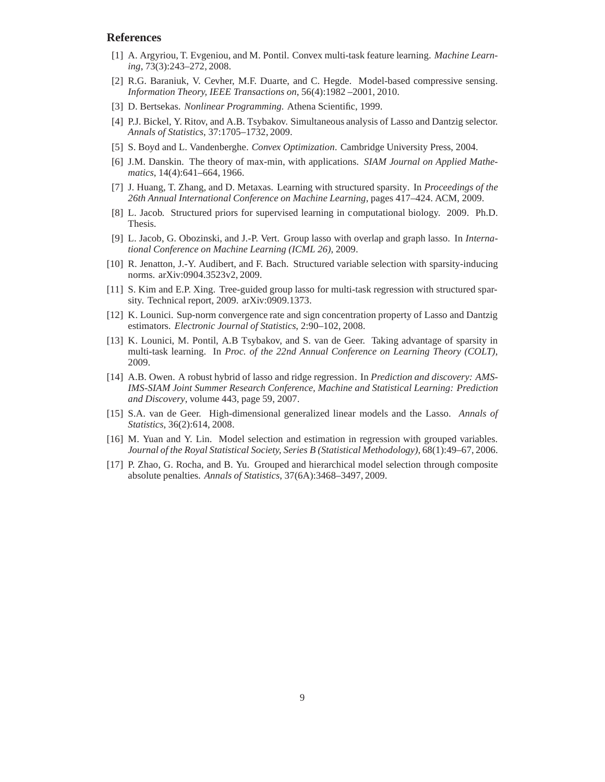# **References**

- [1] A. Argyriou, T. Evgeniou, and M. Pontil. Convex multi-task feature learning. *Machine Learning*, 73(3):243–272, 2008.
- [2] R.G. Baraniuk, V. Cevher, M.F. Duarte, and C. Hegde. Model-based compressive sensing. *Information Theory, IEEE Transactions on*, 56(4):1982 –2001, 2010.
- [3] D. Bertsekas. *Nonlinear Programming*. Athena Scientific, 1999.
- [4] P.J. Bickel, Y. Ritov, and A.B. Tsybakov. Simultaneous analysis of Lasso and Dantzig selector. *Annals of Statistics*, 37:1705–1732, 2009.
- [5] S. Boyd and L. Vandenberghe. *Convex Optimization*. Cambridge University Press, 2004.
- [6] J.M. Danskin. The theory of max-min, with applications. *SIAM Journal on Applied Mathematics*, 14(4):641–664, 1966.
- [7] J. Huang, T. Zhang, and D. Metaxas. Learning with structured sparsity. In *Proceedings of the 26th Annual International Conference on Machine Learning*, pages 417–424. ACM, 2009.
- [8] L. Jacob. Structured priors for supervised learning in computational biology. 2009. Ph.D. Thesis.
- [9] L. Jacob, G. Obozinski, and J.-P. Vert. Group lasso with overlap and graph lasso. In *International Conference on Machine Learning (ICML 26)*, 2009.
- [10] R. Jenatton, J.-Y. Audibert, and F. Bach. Structured variable selection with sparsity-inducing norms. arXiv:0904.3523v2, 2009.
- [11] S. Kim and E.P. Xing. Tree-guided group lasso for multi-task regression with structured sparsity. Technical report, 2009. arXiv:0909.1373.
- [12] K. Lounici. Sup-norm convergence rate and sign concentration property of Lasso and Dantzig estimators. *Electronic Journal of Statistics*, 2:90–102, 2008.
- [13] K. Lounici, M. Pontil, A.B Tsybakov, and S. van de Geer. Taking advantage of sparsity in multi-task learning. In *Proc. of the 22nd Annual Conference on Learning Theory (COLT)*, 2009.
- [14] A.B. Owen. A robust hybrid of lasso and ridge regression. In *Prediction and discovery: AMS-IMS-SIAM Joint Summer Research Conference, Machine and Statistical Learning: Prediction and Discovery*, volume 443, page 59, 2007.
- [15] S.A. van de Geer. High-dimensional generalized linear models and the Lasso. *Annals of Statistics*, 36(2):614, 2008.
- [16] M. Yuan and Y. Lin. Model selection and estimation in regression with grouped variables. *Journal of the Royal Statistical Society, Series B (Statistical Methodology)*, 68(1):49–67, 2006.
- [17] P. Zhao, G. Rocha, and B. Yu. Grouped and hierarchical model selection through composite absolute penalties. *Annals of Statistics*, 37(6A):3468–3497, 2009.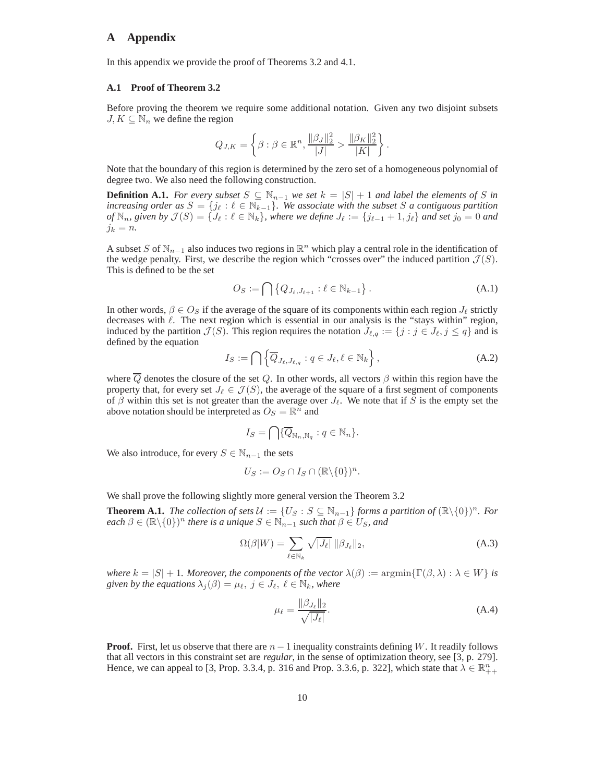# **A Appendix**

In this appendix we provide the proof of Theorems 3.2 and 4.1.

#### **A.1 Proof of Theorem 3.2**

Before proving the theorem we require some additional notation. Given any two disjoint subsets  $J, K \subseteq \mathbb{N}_n$  we define the region

$$
Q_{J,K} = \left\{ \beta : \beta \in \mathbb{R}^n, \frac{\|\beta_J\|_2^2}{|J|} > \frac{\|\beta_K\|_2^2}{|K|} \right\}.
$$

Note that the boundary of this region is determined by the zero set of a homogeneous polynomial of degree two. We also need the following construction.

**Definition A.1.** *For every subset*  $S \subseteq \mathbb{N}_{n-1}$  *we set*  $k = |S| + 1$  *and label the elements of* S *in increasing order as*  $S = \{j_\ell : \ell \in \mathbb{N}_{k-1}\}$ . We associate with the subset S a contiguous partition *of*  $\mathbb{N}_n$ , given by  $\mathcal{J}(S) = \{J_\ell : \ell \in \mathbb{N}_k\}$ , where we define  $J_\ell := \{j_{\ell-1} + 1, j_\ell\}$  and set  $j_0 = 0$  and  $j_k = n$ .

A subset S of  $\mathbb{N}_{n-1}$  also induces two regions in  $\mathbb{R}^n$  which play a central role in the identification of the wedge penalty. First, we describe the region which "crosses over" the induced partition  $\mathcal{J}(S)$ . This is defined to be the set

$$
O_S := \bigcap \left\{ Q_{J_\ell, J_{\ell+1}} : \ell \in \mathbb{N}_{k-1} \right\}.
$$
\n(A.1)

In other words,  $\beta \in O_S$  if the average of the square of its components within each region  $J_\ell$  strictly decreases with  $\ell$ . The next region which is essential in our analysis is the "stays within" region, induced by the partition  $\mathcal{J}(S)$ . This region requires the notation  $J_{\ell,q} := \{j : j \in J_{\ell}, j \le q\}$  and is defined by the equation

$$
I_S := \bigcap \left\{ \overline{Q}_{J_{\ell},J_{\ell,q}} : q \in J_{\ell}, \ell \in \mathbb{N}_k \right\},\tag{A.2}
$$

where  $\overline{Q}$  denotes the closure of the set Q. In other words, all vectors  $\beta$  within this region have the property that, for every set  $J_{\ell} \in \mathcal{J}(S)$ , the average of the square of a first segment of components of  $\beta$  within this set is not greater than the average over  $J_{\ell}$ . We note that if S is the empty set the above notation should be interpreted as  $O_s = \mathbb{R}^n$  and

$$
I_S = \bigcap \{ \overline{Q}_{\mathbb{N}_n, \mathbb{N}_q} : q \in \mathbb{N}_n \}.
$$

We also introduce, for every  $S \in \mathbb{N}_{n-1}$  the sets

$$
U_S := O_S \cap I_S \cap (\mathbb{R} \backslash \{0\})^n.
$$

We shall prove the following slightly more general version the Theorem 3.2

**Theorem A.1.** *The collection of sets*  $\mathcal{U} := \{U_S : S \subseteq \mathbb{N}_{n-1}\}$  *forms a partition of*  $(\mathbb{R} \setminus \{0\})^n$ *. For*  $\text{each } \beta \in (\mathbb{R} \setminus \{0\})^n$  there is a unique  $S \in \mathbb{N}_{n-1}$  such that  $\beta \in U_S$ , and

$$
\Omega(\beta|W) = \sum_{\ell \in \mathbb{N}_k} \sqrt{|J_{\ell}|} \, \|\beta_{J_{\ell}}\|_2,\tag{A.3}
$$

*where*  $k = |S| + 1$ *. Moreover, the components of the vector*  $\lambda(\beta) := \operatorname{argmin} \{ \Gamma(\beta, \lambda) : \lambda \in W \}$  *is given by the equations*  $\lambda_j(\beta) = \mu_\ell, j \in J_\ell, \ell \in \mathbb{N}_k$ , where

$$
\mu_{\ell} = \frac{\|\beta_{J_{\ell}}\|_2}{\sqrt{|J_{\ell}|}}.\tag{A.4}
$$

**Proof.** First, let us observe that there are  $n - 1$  inequality constraints defining W. It readily follows that all vectors in this constraint set are *regular*, in the sense of optimization theory, see [3, p. 279]. Hence, we can appeal to [3, Prop. 3.3.4, p. 316 and Prop. 3.3.6, p. 322], which state that  $\lambda \in \mathbb{R}_{++}^n$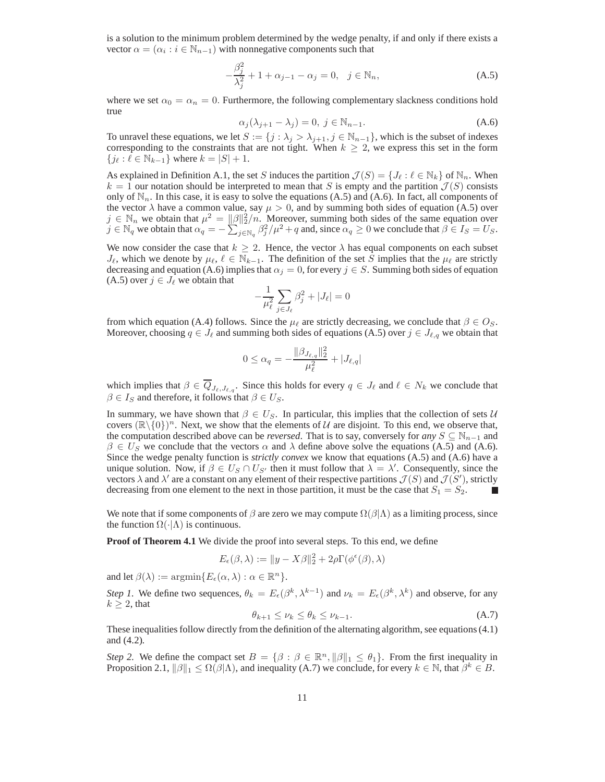is a solution to the minimum problem determined by the wedge penalty, if and only if there exists a vector  $\alpha = (\alpha_i : i \in \mathbb{N}_{n-1})$  with nonnegative components such that

$$
-\frac{\beta_j^2}{\lambda_j^2} + 1 + \alpha_{j-1} - \alpha_j = 0, \ \ j \in \mathbb{N}_n,
$$
\n(A.5)

where we set  $\alpha_0 = \alpha_n = 0$ . Furthermore, the following complementary slackness conditions hold true

$$
\alpha_j(\lambda_{j+1} - \lambda_j) = 0, \ j \in \mathbb{N}_{n-1}.
$$
\n(A.6)

To unravel these equations, we let  $S := \{j : \lambda_j > \lambda_{j+1}, j \in \mathbb{N}_{n-1}\}$ , which is the subset of indexes corresponding to the constraints that are not tight. When  $k \geq 2$ , we express this set in the form  ${ji : \ell \in \mathbb{N}_{k-1}}$  where  $k = |S| + 1$ .

As explained in Definition A.1, the set S induces the partition  $\mathcal{J}(S) = \{J_\ell : \ell \in \mathbb{N}_k\}$  of  $\mathbb{N}_n$ . When  $k = 1$  our notation should be interpreted to mean that S is empty and the partition  $\mathcal{J}(S)$  consists only of  $\mathbb{N}_n$ . In this case, it is easy to solve the equations (A.5) and (A.6). In fact, all components of the vector  $\lambda$  have a common value, say  $\mu > 0$ , and by summing both sides of equation (A.5) over  $j \in \mathbb{N}_n$  we obtain that  $\mu^2 = ||\beta||_2^2/n$ . Moreover, summing both sides of the same equation over  $\tilde{g} \in \mathbb{N}_q$  we obtain that  $\alpha_q = -\sum_{j \in \mathbb{N}_q}^{n-2} \beta_j^2 / \mu^2 + q$  and, since  $\alpha_q \ge 0$  we conclude that  $\beta \in I_S = U_S$ .

We now consider the case that  $k \geq 2$ . Hence, the vector  $\lambda$  has equal components on each subset  $J_{\ell}$ , which we denote by  $\mu_{\ell}$ ,  $\ell \in \mathbb{N}_{k-1}$ . The definition of the set S implies that the  $\mu_{\ell}$  are strictly decreasing and equation (A.6) implies that  $\alpha_j = 0$ , for every  $j \in S$ . Summing both sides of equation (A.5) over  $j \in J_\ell$  we obtain that

$$
-\frac{1}{\mu_{\ell}^2}\sum_{j\in J_{\ell}}\beta_j^2+|J_{\ell}|=0
$$

from which equation (A.4) follows. Since the  $\mu_{\ell}$  are strictly decreasing, we conclude that  $\beta \in O_S$ . Moreover, choosing  $q \in J_\ell$  and summing both sides of equations (A.5) over  $j \in J_{\ell,q}$  we obtain that

$$
0\leq \alpha_q = -\frac{\|\beta_{J_{\ell,q}}\|_2^2}{\mu_{\ell}^2}+|J_{\ell,q}|
$$

which implies that  $\beta \in \overline{Q}_{J_{\ell},J_{\ell,a}}$ . Since this holds for every  $q \in J_{\ell}$  and  $\ell \in N_k$  we conclude that  $\beta \in I_S$  and therefore, it follows that  $\beta \in U_S$ .

In summary, we have shown that  $\beta \in U_S$ . In particular, this implies that the collection of sets U covers  $(\mathbb{R}\setminus\{0\})^n$ . Next, we show that the elements of U are disjoint. To this end, we observe that, the computation described above can be *reversed*. That is to say, conversely for *any*  $S \subseteq \mathbb{N}_{n-1}$  and  $\beta \in U_S$  we conclude that the vectors  $\alpha$  and  $\lambda$  define above solve the equations (A.5) and (A.6). Since the wedge penalty function is *strictly convex* we know that equations (A.5) and (A.6) have a unique solution. Now, if  $\beta \in U_S \cap U_{S'}$  then it must follow that  $\lambda = \lambda'$ . Consequently, since the vectors  $\lambda$  and  $\lambda'$  are a constant on any element of their respective partitions  $\mathcal{J}(S)$  and  $\mathcal{J}(S')$ , strictly decreasing from one element to the next in those partition, it must be the case that  $S_1 = S_2$ .

We note that if some components of  $\beta$  are zero we may compute  $\Omega(\beta|\Lambda)$  as a limiting process, since the function  $\Omega(\cdot|\Lambda)$  is continuous.

**Proof of Theorem 4.1** We divide the proof into several steps. To this end, we define

$$
E_{\epsilon}(\beta,\lambda) := \|y - X\beta\|_2^2 + 2\rho\Gamma(\phi^{\epsilon}(\beta),\lambda)
$$

and let  $\beta(\lambda) := \operatorname{argmin} \{ E_{\epsilon}(\alpha, \lambda) : \alpha \in \mathbb{R}^n \}.$ 

*Step 1*. We define two sequences,  $\theta_k = E_{\epsilon}(\beta^k, \lambda^{k-1})$  and  $\nu_k = E_{\epsilon}(\beta^k, \lambda^k)$  and observe, for any  $k > 2$ , that

$$
\theta_{k+1} \le \nu_k \le \theta_k \le \nu_{k-1}.\tag{A.7}
$$

These inequalities follow directly from the definition of the alternating algorithm, see equations (4.1) and (4.2).

*Step 2.* We define the compact set  $B = \{\beta : \beta \in \mathbb{R}^n, ||\beta||_1 \leq \theta_1\}$ . From the first inequality in Proposition 2.1,  $\|\beta\|_1 \le \Omega(\beta|\Lambda)$ , and inequality (A.7) we conclude, for every  $k \in \mathbb{N}$ , that  $\beta^k \in B$ .